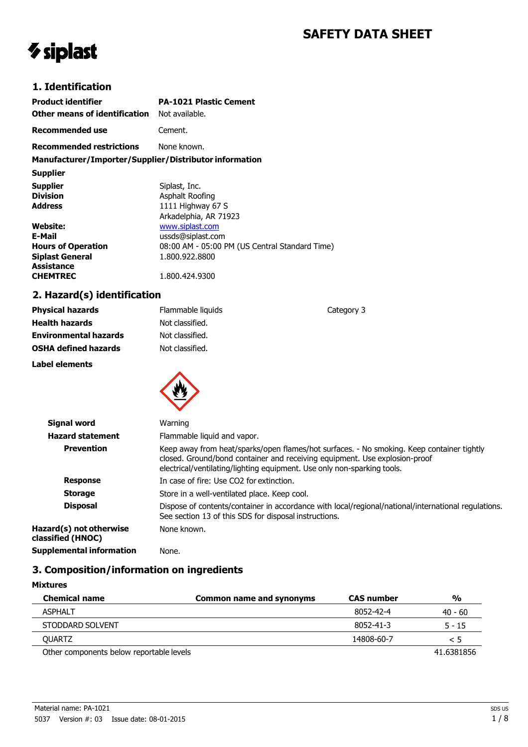# **SAFETY DATA SHEET**

Category 3

# *V* siplast

## **1. Identification**

| <b>Product identifier</b><br><b>Other means of identification</b> Not available. | <b>PA-1021 Plastic Cement</b>                  |
|----------------------------------------------------------------------------------|------------------------------------------------|
| Recommended use                                                                  | Cement.                                        |
| <b>Recommended restrictions</b> None known.                                      |                                                |
| Manufacturer/Importer/Supplier/Distributor information                           |                                                |
| <b>Supplier</b>                                                                  |                                                |
| <b>Supplier</b>                                                                  | Siplast, Inc.                                  |
| <b>Division</b>                                                                  | Asphalt Roofing                                |
| <b>Address</b>                                                                   | 1111 Highway 67 S                              |
|                                                                                  | Arkadelphia, AR 71923                          |
| Website:                                                                         | www.siplast.com                                |
| E-Mail                                                                           | ussds@siplast.com                              |
| <b>Hours of Operation</b>                                                        | 08:00 AM - 05:00 PM (US Central Standard Time) |
| <b>Siplast General</b>                                                           | 1.800.922.8800                                 |
| <b>Assistance</b>                                                                |                                                |
| <b>CHEMTREC</b>                                                                  | 1.800.424.9300                                 |

# **2. Hazard(s) identification**

| <b>Physical hazards</b>      | Flammable liquids |
|------------------------------|-------------------|
| <b>Health hazards</b>        | Not classified.   |
| <b>Environmental hazards</b> | Not classified.   |
| <b>OSHA defined hazards</b>  | Not classified.   |
|                              |                   |

**Label elements**



| <b>Signal word</b>                           | Warning                                                                                                                                                                                                                                            |
|----------------------------------------------|----------------------------------------------------------------------------------------------------------------------------------------------------------------------------------------------------------------------------------------------------|
| <b>Hazard statement</b>                      | Flammable liquid and vapor.                                                                                                                                                                                                                        |
| <b>Prevention</b>                            | Keep away from heat/sparks/open flames/hot surfaces. - No smoking. Keep container tightly<br>closed. Ground/bond container and receiving equipment. Use explosion-proof<br>electrical/ventilating/lighting equipment. Use only non-sparking tools. |
| <b>Response</b>                              | In case of fire: Use CO2 for extinction.                                                                                                                                                                                                           |
| <b>Storage</b>                               | Store in a well-ventilated place. Keep cool.                                                                                                                                                                                                       |
| <b>Disposal</b>                              | Dispose of contents/container in accordance with local/regional/national/international regulations.<br>See section 13 of this SDS for disposal instructions.                                                                                       |
| Hazard(s) not otherwise<br>classified (HNOC) | None known.                                                                                                                                                                                                                                        |
| <b>Supplemental information</b>              | None.                                                                                                                                                                                                                                              |

# **3. Composition/information on ingredients**

| <b>Mixtures</b>                          |                                 |                   |               |
|------------------------------------------|---------------------------------|-------------------|---------------|
| <b>Chemical name</b>                     | <b>Common name and synonyms</b> | <b>CAS number</b> | $\frac{0}{0}$ |
| <b>ASPHALT</b>                           |                                 | 8052-42-4         | $40 - 60$     |
| STODDARD SOLVENT                         |                                 | 8052-41-3         | 5 - 15        |
| <b>OUARTZ</b>                            |                                 | 14808-60-7        | $\leq 5$      |
| Other components below reportable levels |                                 |                   | 41.6381856    |

Material name: PA-1021 5037 Version #: 03 Issue date: 08-01-2015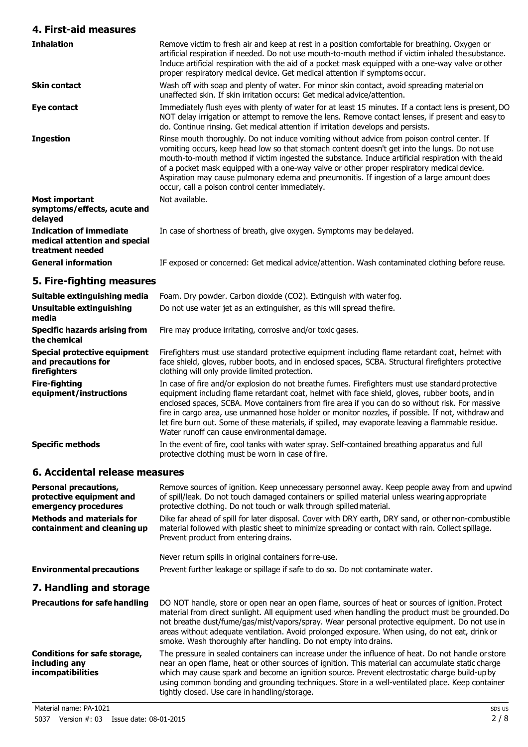## **4. First-aid measures**

| <b>Inhalation</b>                                                                   | Remove victim to fresh air and keep at rest in a position comfortable for breathing. Oxygen or<br>artificial respiration if needed. Do not use mouth-to-mouth method if victim inhaled the substance.<br>Induce artificial respiration with the aid of a pocket mask equipped with a one-way valve or other<br>proper respiratory medical device. Get medical attention if symptoms occur.                                                                                                                                                         |
|-------------------------------------------------------------------------------------|----------------------------------------------------------------------------------------------------------------------------------------------------------------------------------------------------------------------------------------------------------------------------------------------------------------------------------------------------------------------------------------------------------------------------------------------------------------------------------------------------------------------------------------------------|
| <b>Skin contact</b>                                                                 | Wash off with soap and plenty of water. For minor skin contact, avoid spreading materialon<br>unaffected skin. If skin irritation occurs: Get medical advice/attention.                                                                                                                                                                                                                                                                                                                                                                            |
| Eye contact                                                                         | Immediately flush eyes with plenty of water for at least 15 minutes. If a contact lens is present, DO<br>NOT delay irrigation or attempt to remove the lens. Remove contact lenses, if present and easy to<br>do. Continue rinsing. Get medical attention if irritation develops and persists.                                                                                                                                                                                                                                                     |
| <b>Ingestion</b>                                                                    | Rinse mouth thoroughly. Do not induce vomiting without advice from poison control center. If<br>vomiting occurs, keep head low so that stomach content doesn't get into the lungs. Do not use<br>mouth-to-mouth method if victim ingested the substance. Induce artificial respiration with the aid<br>of a pocket mask equipped with a one-way valve or other proper respiratory medical device.<br>Aspiration may cause pulmonary edema and pneumonitis. If ingestion of a large amount does<br>occur, call a poison control center immediately. |
| Most important<br>symptoms/effects, acute and<br>delayed                            | Not available.                                                                                                                                                                                                                                                                                                                                                                                                                                                                                                                                     |
| <b>Indication of immediate</b><br>medical attention and special<br>treatment needed | In case of shortness of breath, give oxygen. Symptoms may be delayed.                                                                                                                                                                                                                                                                                                                                                                                                                                                                              |
| <b>General information</b>                                                          | IF exposed or concerned: Get medical advice/attention. Wash contaminated clothing before reuse.                                                                                                                                                                                                                                                                                                                                                                                                                                                    |
| 5. Fire-fighting measures                                                           |                                                                                                                                                                                                                                                                                                                                                                                                                                                                                                                                                    |
|                                                                                     | <b>Cuitable oxtinguiching modia</b> Ecom Drupouder Carbon diovide (CO2) Extinguich with water fee                                                                                                                                                                                                                                                                                                                                                                                                                                                  |

| Suitable extinguishing media                                        | Foam. Dry powder. Carbon dioxide (CO2). Extinguish with water fog.                                                                                                                                                                                                                                                                                                                                                                                                                                                                                                  |
|---------------------------------------------------------------------|---------------------------------------------------------------------------------------------------------------------------------------------------------------------------------------------------------------------------------------------------------------------------------------------------------------------------------------------------------------------------------------------------------------------------------------------------------------------------------------------------------------------------------------------------------------------|
| Unsuitable extinguishing<br>media                                   | Do not use water jet as an extinguisher, as this will spread the fire.                                                                                                                                                                                                                                                                                                                                                                                                                                                                                              |
| <b>Specific hazards arising from</b><br>the chemical                | Fire may produce irritating, corrosive and/or toxic gases.                                                                                                                                                                                                                                                                                                                                                                                                                                                                                                          |
| Special protective equipment<br>and precautions for<br>firefighters | Firefighters must use standard protective equipment including flame retardant coat, helmet with<br>face shield, gloves, rubber boots, and in enclosed spaces, SCBA. Structural firefighters protective<br>clothing will only provide limited protection.                                                                                                                                                                                                                                                                                                            |
| <b>Fire-fighting</b><br>equipment/instructions                      | In case of fire and/or explosion do not breathe fumes. Firefighters must use standard protective<br>equipment including flame retardant coat, helmet with face shield, gloves, rubber boots, and in<br>enclosed spaces, SCBA. Move containers from fire area if you can do so without risk. For massive<br>fire in cargo area, use unmanned hose holder or monitor nozzles, if possible. If not, withdraw and<br>let fire burn out. Some of these materials, if spilled, may evaporate leaving a flammable residue.<br>Water runoff can cause environmental damage. |
| <b>Specific methods</b>                                             | In the event of fire, cool tanks with water spray. Self-contained breathing apparatus and full<br>protective clothing must be worn in case of fire.                                                                                                                                                                                                                                                                                                                                                                                                                 |

# **6. Accidental release measures**

| <b>Personal precautions,</b><br>protective equipment and<br>emergency procedures | Remove sources of ignition. Keep unnecessary personnel away. Keep people away from and upwind<br>of spill/leak. Do not touch damaged containers or spilled material unless wearing appropriate<br>protective clothing. Do not touch or walk through spilled material.                                                                                                                                                                                                        |
|----------------------------------------------------------------------------------|------------------------------------------------------------------------------------------------------------------------------------------------------------------------------------------------------------------------------------------------------------------------------------------------------------------------------------------------------------------------------------------------------------------------------------------------------------------------------|
| <b>Methods and materials for</b><br>containment and cleaning up                  | Dike far ahead of spill for later disposal. Cover with DRY earth, DRY sand, or other non-combustible<br>material followed with plastic sheet to minimize spreading or contact with rain. Collect spillage.<br>Prevent product from entering drains.                                                                                                                                                                                                                          |
|                                                                                  | Never return spills in original containers for re-use.                                                                                                                                                                                                                                                                                                                                                                                                                       |
| <b>Environmental precautions</b>                                                 | Prevent further leakage or spillage if safe to do so. Do not contaminate water.                                                                                                                                                                                                                                                                                                                                                                                              |
| 7. Handling and storage                                                          |                                                                                                                                                                                                                                                                                                                                                                                                                                                                              |
| <b>Precautions for safe handling</b>                                             | DO NOT handle, store or open near an open flame, sources of heat or sources of ignition. Protect<br>material from direct sunlight. All equipment used when handling the product must be grounded. Do<br>not breathe dust/fume/gas/mist/vapors/spray. Wear personal protective equipment. Do not use in<br>areas without adequate ventilation. Avoid prolonged exposure. When using, do not eat, drink or<br>smoke. Wash thoroughly after handling. Do not empty into drains. |
| Conditions for safe storage,<br>including any<br><i>incompatibilities</i>        | The pressure in sealed containers can increase under the influence of heat. Do not handle or store<br>near an open flame, heat or other sources of ignition. This material can accumulate static charge<br>which may cause spark and become an ignition source. Prevent electrostatic charge build-up by<br>using common bonding and grounding techniques. Store in a well-ventilated place. Keep container<br>tightly closed. Use care in handling/storage.                 |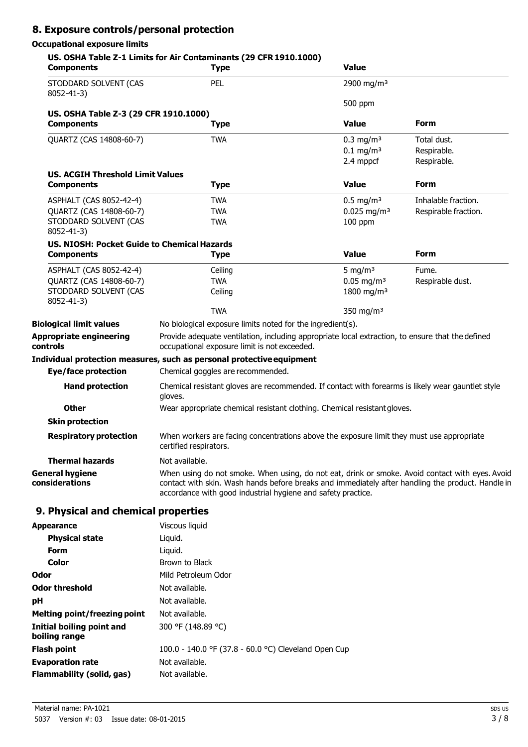# **8. Exposure controls/personal protection**

## **Occupational exposure limits**

| <b>Components</b>                                            | <b>Type</b>                                                                                                                                                                                                                                                          | <b>Value</b>                           |                            |
|--------------------------------------------------------------|----------------------------------------------------------------------------------------------------------------------------------------------------------------------------------------------------------------------------------------------------------------------|----------------------------------------|----------------------------|
| STODDARD SOLVENT (CAS<br>8052-41-3)                          | PEL                                                                                                                                                                                                                                                                  | 2900 mg/m <sup>3</sup>                 |                            |
|                                                              |                                                                                                                                                                                                                                                                      | 500 ppm                                |                            |
| US. OSHA Table Z-3 (29 CFR 1910.1000)                        |                                                                                                                                                                                                                                                                      |                                        | <b>Form</b>                |
| <b>Components</b>                                            | <b>Type</b>                                                                                                                                                                                                                                                          | <b>Value</b>                           |                            |
| QUARTZ (CAS 14808-60-7)                                      | <b>TWA</b>                                                                                                                                                                                                                                                           | $0.3 \text{ mg/m}^3$                   | Total dust.                |
|                                                              |                                                                                                                                                                                                                                                                      | $0.1 \text{ mg/m}^3$<br>2.4 mppcf      | Respirable.<br>Respirable. |
|                                                              |                                                                                                                                                                                                                                                                      |                                        |                            |
| <b>US. ACGIH Threshold Limit Values</b><br><b>Components</b> | <b>Type</b>                                                                                                                                                                                                                                                          | <b>Value</b>                           | Form                       |
|                                                              |                                                                                                                                                                                                                                                                      |                                        |                            |
| ASPHALT (CAS 8052-42-4)                                      | <b>TWA</b><br><b>TWA</b>                                                                                                                                                                                                                                             | $0.5$ mg/m <sup>3</sup>                | Inhalable fraction.        |
| QUARTZ (CAS 14808-60-7)<br>STODDARD SOLVENT (CAS             | <b>TWA</b>                                                                                                                                                                                                                                                           | $0.025$ mg/m <sup>3</sup><br>$100$ ppm | Respirable fraction.       |
| 8052-41-3)                                                   |                                                                                                                                                                                                                                                                      |                                        |                            |
| <b>US. NIOSH: Pocket Guide to Chemical Hazards</b>           |                                                                                                                                                                                                                                                                      |                                        |                            |
| <b>Components</b>                                            | <b>Type</b>                                                                                                                                                                                                                                                          | <b>Value</b>                           | <b>Form</b>                |
| ASPHALT (CAS 8052-42-4)                                      | Ceiling                                                                                                                                                                                                                                                              | 5 mg/m $3$                             | Fume.                      |
| QUARTZ (CAS 14808-60-7)                                      | <b>TWA</b>                                                                                                                                                                                                                                                           | $0.05$ mg/m <sup>3</sup>               | Respirable dust.           |
| STODDARD SOLVENT (CAS                                        | Ceiling                                                                                                                                                                                                                                                              | 1800 mg/m <sup>3</sup>                 |                            |
| 8052-41-3)                                                   | <b>TWA</b>                                                                                                                                                                                                                                                           | 350 mg/m <sup>3</sup>                  |                            |
| <b>Biological limit values</b>                               | No biological exposure limits noted for the ingredient(s).                                                                                                                                                                                                           |                                        |                            |
| <b>Appropriate engineering</b><br>controls                   | Provide adequate ventilation, including appropriate local extraction, to ensure that the defined<br>occupational exposure limit is not exceeded.                                                                                                                     |                                        |                            |
|                                                              | Individual protection measures, such as personal protective equipment                                                                                                                                                                                                |                                        |                            |
| <b>Eye/face protection</b>                                   | Chemical goggles are recommended.                                                                                                                                                                                                                                    |                                        |                            |
| <b>Hand protection</b>                                       | Chemical resistant gloves are recommended. If contact with forearms is likely wear gauntlet style<br>gloves.                                                                                                                                                         |                                        |                            |
| <b>Other</b>                                                 | Wear appropriate chemical resistant clothing. Chemical resistant gloves.                                                                                                                                                                                             |                                        |                            |
| <b>Skin protection</b>                                       |                                                                                                                                                                                                                                                                      |                                        |                            |
| <b>Respiratory protection</b>                                | When workers are facing concentrations above the exposure limit they must use appropriate<br>certified respirators.                                                                                                                                                  |                                        |                            |
| <b>Thermal hazards</b>                                       | Not available.                                                                                                                                                                                                                                                       |                                        |                            |
| <b>General hygiene</b><br>considerations                     | When using do not smoke. When using, do not eat, drink or smoke. Avoid contact with eyes. Avoid<br>contact with skin. Wash hands before breaks and immediately after handling the product. Handle in<br>accordance with good industrial hygiene and safety practice. |                                        |                            |
| 9. Physical and chemical properties                          |                                                                                                                                                                                                                                                                      |                                        |                            |
| <b>Appearance</b>                                            | Viscous liquid                                                                                                                                                                                                                                                       |                                        |                            |
| <b>Physical state</b>                                        | Liquid.                                                                                                                                                                                                                                                              |                                        |                            |
| п.                                                           | المنسمنية                                                                                                                                                                                                                                                            |                                        |                            |

| <b>Form</b>                                | Liguid.                                              |
|--------------------------------------------|------------------------------------------------------|
| Color                                      | Brown to Black                                       |
| Odor                                       | Mild Petroleum Odor                                  |
| <b>Odor threshold</b>                      | Not available.                                       |
| рH                                         | Not available.                                       |
| <b>Melting point/freezing point</b>        | Not available.                                       |
| Initial boiling point and<br>boiling range | 300 °F (148.89 °C)                                   |
| <b>Flash point</b>                         | 100.0 - 140.0 °F (37.8 - 60.0 °C) Cleveland Open Cup |
| <b>Evaporation rate</b>                    | Not available.                                       |
| <b>Flammability (solid, gas)</b>           | Not available.                                       |
|                                            |                                                      |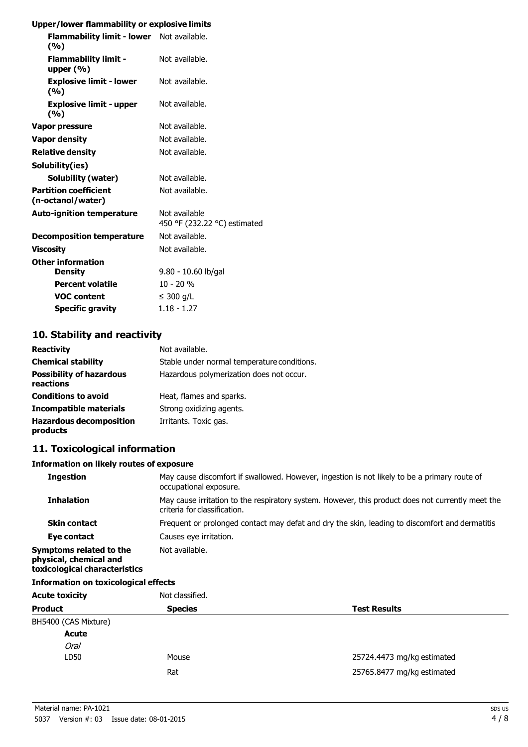#### **Upper/lower flammability or explosive limits**

| Flammability limit - lower Not available.<br>(9/6) |                                               |
|----------------------------------------------------|-----------------------------------------------|
| <b>Flammability limit -</b><br>upper $(%)$         | Not available.                                |
| <b>Explosive limit - lower</b><br>(9/0)            | Not available.                                |
| <b>Explosive limit - upper</b><br>(%)              | Not available.                                |
| Vapor pressure                                     | Not available.                                |
| <b>Vapor density</b>                               | Not available.                                |
| <b>Relative density</b>                            | Not available.                                |
| Solubility(ies)                                    |                                               |
| Solubility (water)                                 | Not available.                                |
| <b>Partition coefficient</b><br>(n-octanol/water)  | Not available.                                |
| <b>Auto-ignition temperature</b>                   | Not available<br>450 °F (232.22 °C) estimated |
| <b>Decomposition temperature</b>                   | Not available.                                |
| <b>Viscositv</b>                                   | Not available.                                |
| <b>Other information</b>                           |                                               |
| <b>Density</b>                                     | 9.80 - 10.60 lb/gal                           |
| <b>Percent volatile</b>                            | $10 - 20%$                                    |
| <b>VOC content</b>                                 | $\leq$ 300 g/L                                |
| <b>Specific gravity</b>                            | $1.18 - 1.27$                                 |
|                                                    |                                               |

### **10. Stability and reactivity Reactivity** Not available.

| <b>REACLIVILY</b>                            | <u>ivul avaliable.</u>                      |
|----------------------------------------------|---------------------------------------------|
| <b>Chemical stability</b>                    | Stable under normal temperature conditions. |
| <b>Possibility of hazardous</b><br>reactions | Hazardous polymerization does not occur.    |
| <b>Conditions to avoid</b>                   | Heat, flames and sparks.                    |
| Incompatible materials                       | Strong oxidizing agents.                    |
| <b>Hazardous decomposition</b><br>products   | Irritants. Toxic gas.                       |

# **11. Toxicological information**

#### **Information on likely routes of exposure**

| <b>Ingestion</b>                                                                   | May cause discomfort if swallowed. However, ingestion is not likely to be a primary route of<br>occupational exposure.            |
|------------------------------------------------------------------------------------|-----------------------------------------------------------------------------------------------------------------------------------|
| <b>Inhalation</b>                                                                  | May cause irritation to the respiratory system. However, this product does not currently meet the<br>criteria for classification. |
| <b>Skin contact</b>                                                                | Frequent or prolonged contact may defat and dry the skin, leading to discomfort and dermatitis                                    |
| Eye contact                                                                        | Causes eye irritation.                                                                                                            |
| Symptoms related to the<br>physical, chemical and<br>toxicological characteristics | Not available.                                                                                                                    |
| <b>Information on toxicological effects</b>                                        |                                                                                                                                   |
| Acute tovicity                                                                     | Not classified                                                                                                                    |

| <b>Acute toxicity</b> | Not classified. | <b>Test Results</b>        |  |
|-----------------------|-----------------|----------------------------|--|
| <b>Product</b>        | <b>Species</b>  |                            |  |
| BH5400 (CAS Mixture)  |                 |                            |  |
| <b>Acute</b>          |                 |                            |  |
| <b>Oral</b>           |                 |                            |  |
| LD50                  | Mouse           | 25724.4473 mg/kg estimated |  |
|                       | Rat             | 25765.8477 mg/kg estimated |  |
|                       |                 |                            |  |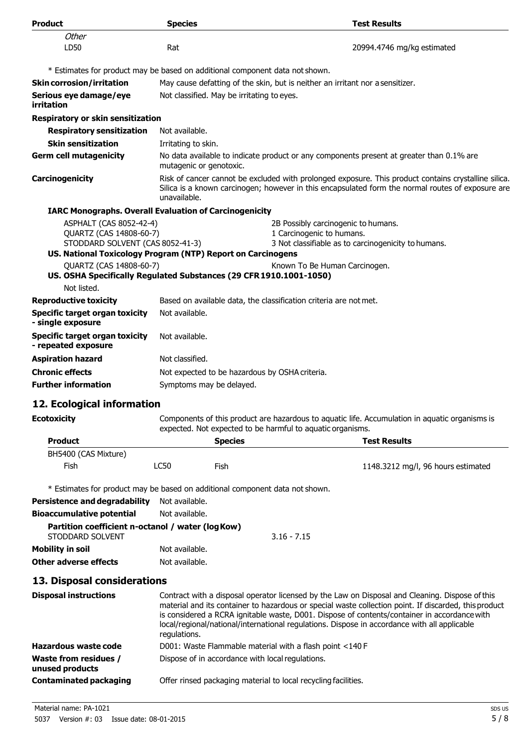| <b>Product</b>                                                                                  | <b>Species</b>           | <b>Test Results</b>                                                                                                                                                                                                                                                                                   |  |
|-------------------------------------------------------------------------------------------------|--------------------------|-------------------------------------------------------------------------------------------------------------------------------------------------------------------------------------------------------------------------------------------------------------------------------------------------------|--|
| Other                                                                                           |                          |                                                                                                                                                                                                                                                                                                       |  |
| LD50                                                                                            | Rat                      | 20994.4746 mg/kg estimated                                                                                                                                                                                                                                                                            |  |
|                                                                                                 |                          | * Estimates for product may be based on additional component data not shown.                                                                                                                                                                                                                          |  |
| <b>Skin corrosion/irritation</b>                                                                |                          | May cause defatting of the skin, but is neither an irritant nor a sensitizer.                                                                                                                                                                                                                         |  |
| Serious eye damage/eye                                                                          |                          | Not classified. May be irritating to eyes.                                                                                                                                                                                                                                                            |  |
| irritation                                                                                      |                          |                                                                                                                                                                                                                                                                                                       |  |
| Respiratory or skin sensitization                                                               |                          |                                                                                                                                                                                                                                                                                                       |  |
| <b>Respiratory sensitization</b>                                                                | Not available.           |                                                                                                                                                                                                                                                                                                       |  |
| <b>Skin sensitization</b>                                                                       | Irritating to skin.      |                                                                                                                                                                                                                                                                                                       |  |
| <b>Germ cell mutagenicity</b>                                                                   | mutagenic or genotoxic.  | No data available to indicate product or any components present at greater than 0.1% are                                                                                                                                                                                                              |  |
| Carcinogenicity                                                                                 | unavailable.             | Risk of cancer cannot be excluded with prolonged exposure. This product contains crystalline silica.<br>Silica is a known carcinogen; however in this encapsulated form the normal routes of exposure are                                                                                             |  |
| <b>IARC Monographs. Overall Evaluation of Carcinogenicity</b>                                   |                          |                                                                                                                                                                                                                                                                                                       |  |
| ASPHALT (CAS 8052-42-4)                                                                         |                          | 2B Possibly carcinogenic to humans.                                                                                                                                                                                                                                                                   |  |
| QUARTZ (CAS 14808-60-7)                                                                         |                          | 1 Carcinogenic to humans.                                                                                                                                                                                                                                                                             |  |
| STODDARD SOLVENT (CAS 8052-41-3)<br>US. National Toxicology Program (NTP) Report on Carcinogens |                          | 3 Not classifiable as to carcinogenicity to humans.                                                                                                                                                                                                                                                   |  |
| QUARTZ (CAS 14808-60-7)                                                                         |                          |                                                                                                                                                                                                                                                                                                       |  |
|                                                                                                 |                          | Known To Be Human Carcinogen.<br>US. OSHA Specifically Regulated Substances (29 CFR 1910.1001-1050)                                                                                                                                                                                                   |  |
| Not listed.                                                                                     |                          |                                                                                                                                                                                                                                                                                                       |  |
| <b>Reproductive toxicity</b>                                                                    |                          | Based on available data, the classification criteria are not met.                                                                                                                                                                                                                                     |  |
| <b>Specific target organ toxicity</b><br>- single exposure                                      | Not available.           |                                                                                                                                                                                                                                                                                                       |  |
| <b>Specific target organ toxicity</b><br>- repeated exposure                                    | Not available.           |                                                                                                                                                                                                                                                                                                       |  |
| <b>Aspiration hazard</b>                                                                        | Not classified.          |                                                                                                                                                                                                                                                                                                       |  |
| <b>Chronic effects</b>                                                                          |                          | Not expected to be hazardous by OSHA criteria.                                                                                                                                                                                                                                                        |  |
| <b>Further information</b>                                                                      | Symptoms may be delayed. |                                                                                                                                                                                                                                                                                                       |  |
|                                                                                                 |                          |                                                                                                                                                                                                                                                                                                       |  |
| 12. Ecological information                                                                      |                          |                                                                                                                                                                                                                                                                                                       |  |
| <b>Ecotoxicity</b>                                                                              |                          | Components of this product are hazardous to aquatic life. Accumulation in aquatic organisms is<br>expected. Not expected to be harmful to aquatic organisms.                                                                                                                                          |  |
| <b>Product</b>                                                                                  |                          | <b>Species</b><br><b>Test Results</b>                                                                                                                                                                                                                                                                 |  |
| BH5400 (CAS Mixture)                                                                            |                          |                                                                                                                                                                                                                                                                                                       |  |
| Fish                                                                                            | <b>LC50</b>              | Fish<br>1148.3212 mg/l, 96 hours estimated                                                                                                                                                                                                                                                            |  |
|                                                                                                 |                          |                                                                                                                                                                                                                                                                                                       |  |
|                                                                                                 |                          | * Estimates for product may be based on additional component data not shown.                                                                                                                                                                                                                          |  |
| <b>Persistence and degradability</b>                                                            | Not available.           |                                                                                                                                                                                                                                                                                                       |  |
| <b>Bioaccumulative potential</b>                                                                | Not available.           |                                                                                                                                                                                                                                                                                                       |  |
| Partition coefficient n-octanol / water (log Kow)<br>STODDARD SOLVENT                           |                          | $3.16 - 7.15$                                                                                                                                                                                                                                                                                         |  |
| <b>Mobility in soil</b>                                                                         | Not available.           |                                                                                                                                                                                                                                                                                                       |  |
| <b>Other adverse effects</b>                                                                    | Not available.           |                                                                                                                                                                                                                                                                                                       |  |
| 13. Disposal considerations                                                                     |                          |                                                                                                                                                                                                                                                                                                       |  |
| <b>Disposal instructions</b>                                                                    |                          | Contract with a disposal operator licensed by the Law on Disposal and Cleaning. Dispose of this                                                                                                                                                                                                       |  |
|                                                                                                 | regulations.             | material and its container to hazardous or special waste collection point. If discarded, this product<br>is considered a RCRA ignitable waste, D001. Dispose of contents/container in accordance with<br>local/regional/national/international regulations. Dispose in accordance with all applicable |  |
| <b>Hazardous waste code</b>                                                                     |                          | D001: Waste Flammable material with a flash point <140 F                                                                                                                                                                                                                                              |  |
| <b>Waste from residues /</b><br>unused products                                                 |                          | Dispose of in accordance with local regulations.                                                                                                                                                                                                                                                      |  |
| <b>Contaminated packaging</b>                                                                   |                          | Offer rinsed packaging material to local recycling facilities.                                                                                                                                                                                                                                        |  |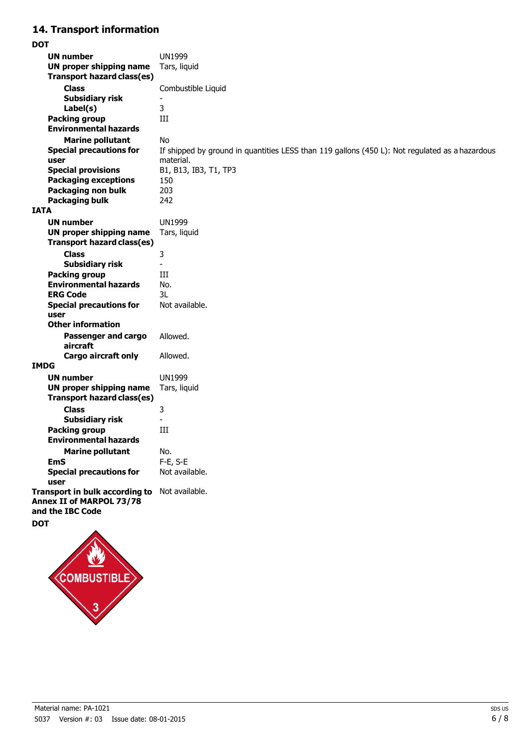# **14. Transport information**

**DOT**

|             | <b>UN number</b>                       | <b>UN1999</b>                                                                                               |
|-------------|----------------------------------------|-------------------------------------------------------------------------------------------------------------|
|             | <b>UN proper shipping name</b>         | Tars, liquid                                                                                                |
|             | <b>Transport hazard class(es)</b>      |                                                                                                             |
|             | <b>Class</b>                           | Combustible Liquid                                                                                          |
|             | <b>Subsidiary risk</b>                 |                                                                                                             |
|             | Label(s)                               | 3                                                                                                           |
|             | <b>Packing group</b>                   | Ш                                                                                                           |
|             | <b>Environmental hazards</b>           |                                                                                                             |
|             |                                        | <b>No</b>                                                                                                   |
|             | <b>Marine pollutant</b>                |                                                                                                             |
|             | <b>Special precautions for</b><br>user | If shipped by ground in quantities LESS than 119 gallons (450 L): Not regulated as a hazardous<br>material. |
|             | <b>Special provisions</b>              | B1, B13, IB3, T1, TP3                                                                                       |
|             | <b>Packaging exceptions</b>            | 150                                                                                                         |
|             | Packaging non bulk                     | 203                                                                                                         |
|             |                                        | 242                                                                                                         |
| <b>IATA</b> | <b>Packaging bulk</b>                  |                                                                                                             |
|             |                                        |                                                                                                             |
|             | <b>UN number</b>                       | <b>UN1999</b>                                                                                               |
|             | UN proper shipping name                | Tars, liquid                                                                                                |
|             | <b>Transport hazard class(es)</b>      |                                                                                                             |
|             | <b>Class</b>                           | 3                                                                                                           |
|             | <b>Subsidiary risk</b>                 | $\overline{\phantom{0}}$                                                                                    |
|             | <b>Packing group</b>                   | Ш                                                                                                           |
|             | <b>Environmental hazards</b>           | No.                                                                                                         |
|             | <b>ERG Code</b>                        | 3L                                                                                                          |
|             | <b>Special precautions for</b>         | Not available.                                                                                              |
|             | user                                   |                                                                                                             |
|             | <b>Other information</b>               |                                                                                                             |
|             | <b>Passenger and cargo</b>             | Allowed.                                                                                                    |
|             | aircraft                               |                                                                                                             |
|             | <b>Cargo aircraft only</b>             | Allowed.                                                                                                    |
|             | IMDG                                   |                                                                                                             |
|             | <b>UN number</b>                       | <b>UN1999</b>                                                                                               |
|             | <b>UN proper shipping name</b>         | Tars, liquid                                                                                                |
|             | <b>Transport hazard class(es)</b>      |                                                                                                             |
|             | <b>Class</b>                           | 3                                                                                                           |
|             | <b>Subsidiary risk</b>                 |                                                                                                             |
|             | <b>Packing group</b>                   | III                                                                                                         |
|             | <b>Environmental hazards</b>           |                                                                                                             |
|             | <b>Marine pollutant</b>                | No.                                                                                                         |
|             | <b>EmS</b>                             | F-E, S-E                                                                                                    |
|             | <b>Special precautions for</b>         | Not available.                                                                                              |
|             | user                                   |                                                                                                             |
|             | Transport in bulk according to         | Not available.                                                                                              |
|             | Annex II of MARPOL 73/78               |                                                                                                             |
|             | and the IBC Code                       |                                                                                                             |
| <b>DOT</b>  |                                        |                                                                                                             |
|             |                                        |                                                                                                             |
|             |                                        |                                                                                                             |
|             |                                        |                                                                                                             |
|             |                                        |                                                                                                             |
|             | <b>INDI</b>                            |                                                                                                             |

 $\frac{1}{3}$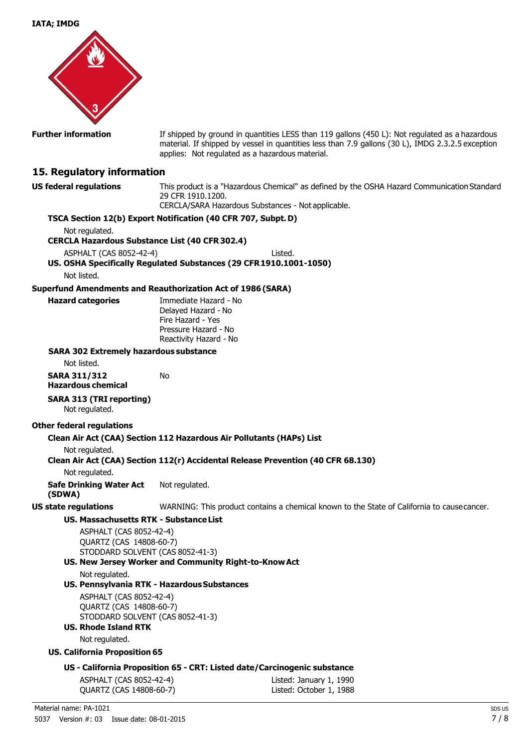

**Further information** If shipped by ground in quantities LESS than 119 gallons (450 L): Not regulated as a hazardous material. If shipped by vessel in quantities less than 7.9 gallons (30 L), IMDG 2.3.2.5 exception applies: Not regulated as a hazardous material.

## **15. Regulatory information**

**US federal regulations** This product is a "Hazardous Chemical" as defined by the OSHA Hazard Communication Standard 29 CFR 1910.1200. CERCLA/SARA Hazardous Substances - Not applicable.

#### **TSCA Section 12(b) Export Notification (40 CFR 707, Subpt.D)**

Not regulated.

**CERCLA Hazardous Substance List (40 CFR302.4)**

ASPHALT (CAS 8052-42-4) Listed.

## **US. OSHA Specifically Regulated Substances (29 CFR1910.1001-1050)**

Not listed.

#### **Superfund Amendments and Reauthorization Act of 1986(SARA)**

**Hazard categories** Immediate Hazard - No Delayed Hazard - No Fire Hazard - Yes Pressure Hazard - No Reactivity Hazard - No

#### **SARA 302 Extremely hazardous substance**

Not listed.

| SARA 311/312       | No |
|--------------------|----|
| Hazardous chemical |    |

#### **SARA 313 (TRI reporting)**

Not regulated.

#### **Other federal regulations**

#### **Clean Air Act (CAA) Section 112 Hazardous Air Pollutants (HAPs) List**

Not regulated.

**Clean Air Act (CAA) Section 112(r) Accidental Release Prevention (40 CFR 68.130)**

Not regulated.

**Safe Drinking Water Act (SDWA)** Not regulated.

**US state regulations** WARNING: This product contains a chemical known to the State of California to causecancer.

#### **US. Massachusetts RTK - SubstanceList**

ASPHALT (CAS 8052-42-4) QUARTZ (CAS 14808-60-7) STODDARD SOLVENT (CAS 8052-41-3)

## **US. New Jersey Worker and Community Right-to-KnowAct**

Not regulated.

#### **US. Pennsylvania RTK - HazardousSubstances**

ASPHALT (CAS 8052-42-4) QUARTZ (CAS 14808-60-7) STODDARD SOLVENT (CAS 8052-41-3)

**US. Rhode Island RTK** Not regulated.

#### **US. California Proposition 65**

#### **US - California Proposition 65 - CRT: Listed date/Carcinogenic substance**

ASPHALT (CAS 8052-42-4) Listed: January 1, 1990 QUARTZ (CAS 14808-60-7) Listed: October 1, 1988